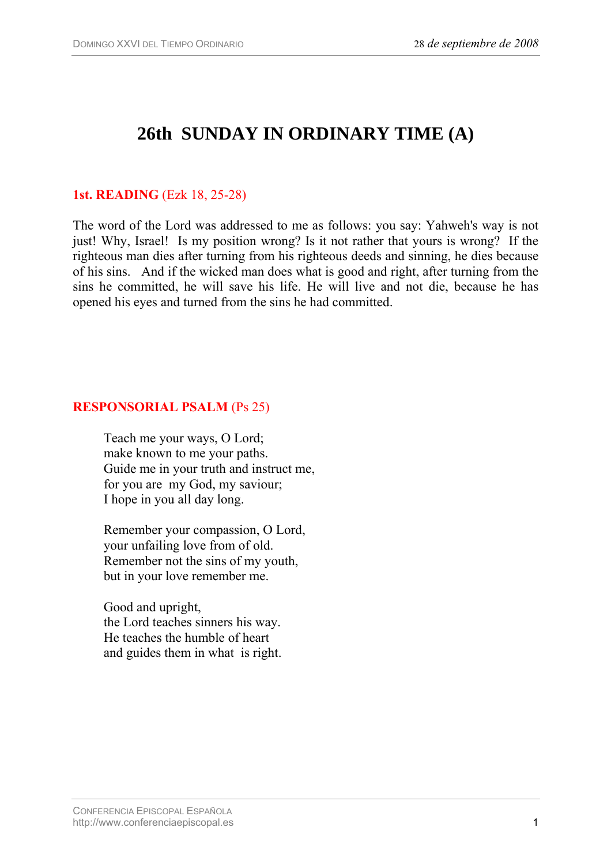# **26th SUNDAY IN ORDINARY TIME (A)**

### **1st. READING** (Ezk 18, 25-28)

The word of the Lord was addressed to me as follows: you say: Yahweh's way is not just! Why, Israel! Is my position wrong? Is it not rather that yours is wrong? If the righteous man dies after turning from his righteous deeds and sinning, he dies because of his sins. And if the wicked man does what is good and right, after turning from the sins he committed, he will save his life. He will live and not die, because he has opened his eyes and turned from the sins he had committed.

#### **RESPONSORIAL PSALM** (Ps 25)

Teach me your ways, O Lord; make known to me your paths. Guide me in your truth and instruct me, for you are my God, my saviour; I hope in you all day long.

Remember your compassion, O Lord, your unfailing love from of old. Remember not the sins of my youth, but in your love remember me.

Good and upright, the Lord teaches sinners his way. He teaches the humble of heart and guides them in what is right.